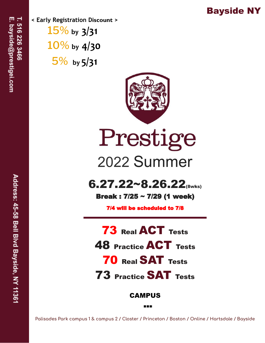## Bayside NY

**< Early Registration Discount >** 15% **by 3/31** 10% **by 4/30** 5% **by 5/31**



Prestige 2022 Summer

 $6.27.22~8.26.22$ <sub>(8wks)</sub>

Break : 7/25 ~ 7/29 (1 week)

7/4 will be scheduled to 7/8

 Real ACT Tests Practice ACT Tests Real SAT Tests Practice SAT Tests

CAMPUS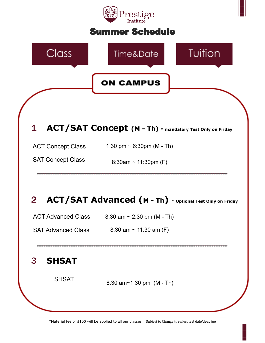# restige

#### Summer Schedule



\*Material fee of \$100 will be applied to all our classes. Subject to Change to reflect test date/deadline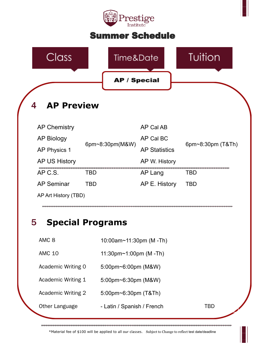

#### Summer Schedule



#### 5 **Special Programs**

AMC 8 10:00am~11:30pm (M -Th)

AMC 10 11:30pm~1:00pm (M -Th)

Academic Writing 0 5:00pm~6:00pm (M&W)

Academic Writing 1 5:00pm~6:30pm (M&W)

Academic Writing 2 5:00pm~6:30pm (T&Th)

Other Language  $\qquad -$  Latin / Spanish / French TBD

\*Material fee of \$100 will be applied to all our classes. Subject to Change to reflect test date/deadline